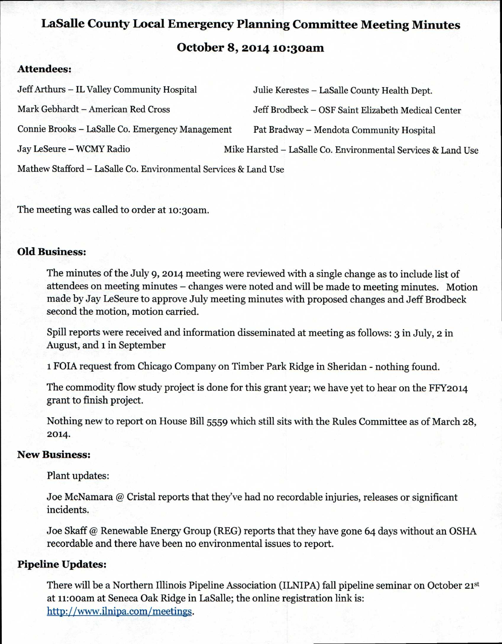# **LaSalle County Local Emergency Planning Committee Meeting Minutes October 8, 2014 to:3oam**

# **Attendees:**

| Jeff Arthurs - IL Valley Community Hospital                     | Julie Kerestes - LaSalle County Health Dept.                 |
|-----------------------------------------------------------------|--------------------------------------------------------------|
| Mark Gebhardt - American Red Cross                              | Jeff Brodbeck - OSF Saint Elizabeth Medical Center           |
| Connie Brooks - LaSalle Co. Emergency Management                | Pat Bradway - Mendota Community Hospital                     |
| Jay LeSeure - WCMY Radio                                        | Mike Harsted - LaSalle Co. Environmental Services & Land Use |
| Mathew Stafford - LaSalle Co. Environmental Services & Land Use |                                                              |

The meeting was called to order at 10:30am.

# **Old Business:**

The minutes of the July 9, 2014 meeting were reviewed with a single change as to include list of attendees on meeting minutes — changes were noted and will be made to meeting minutes. Motion made by Jay LeSeure to approve July meeting minutes with proposed changes and Jeff Brodbeck second the motion, motion carried.

Spill reports were received and information disseminated at meeting as follows: 3 in July, **2** in August, and 1 in September

1 FOIA request from Chicago Company on Timber Park Ridge in Sheridan - nothing found.

The commodity flow study project is done for this grant year; we have yet to hear on the FFY2014 grant to finish project.

Nothing new to report on House Bill 5559 which still sits with the Rules Committee as of March 28, 2014.

# **New Business:**

Plant updates:

Joe McNamara @ Cristal reports that they've had no recordable injuries, releases or significant incidents.

Joe Skaff @ Renewable Energy Group (REG) reports that they have gone 64 days without an OSHA recordable and there have been no environmental issues to report.

# **Pipeline Updates:**

There will be a Northern Illinois Pipeline Association (ILNIPA) fall pipeline seminar on October 21st at 11:00am at Seneca Oak Ridge in LaSalle; the online registration link is: http://www.ilnipa.com/meetings.